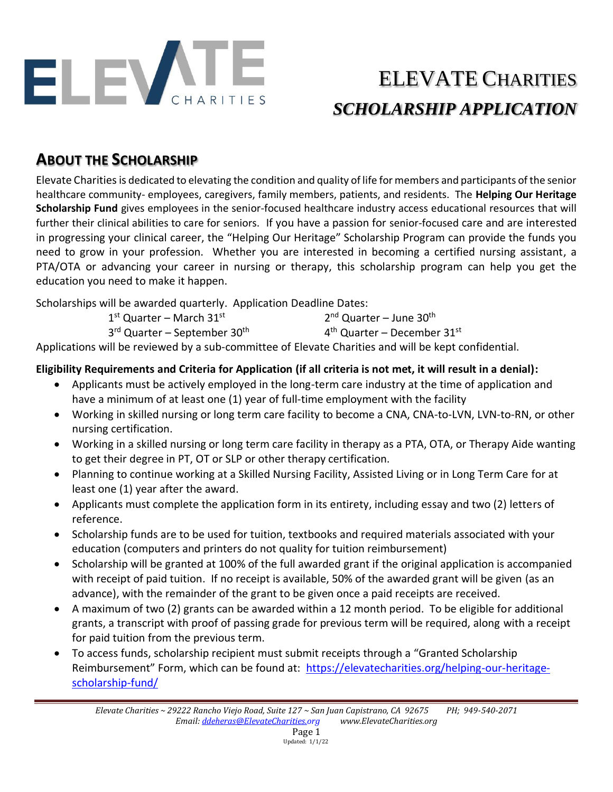

## ELEVATE CHARITIES *SCHOLARSHIP APPLICATION*

### **ABOUT THE SCHOLARSHIP**

Elevate Charitiesis dedicated to elevating the condition and quality of life for members and participants of the senior healthcare community- employees, caregivers, family members, patients, and residents. The **Helping Our Heritage Scholarship Fund** gives employees in the senior-focused healthcare industry access educational resources that will further their clinical abilities to care for seniors. If you have a passion for senior-focused care and are interested in progressing your clinical career, the "Helping Our Heritage" Scholarship Program can provide the funds you need to grow in your profession. Whether you are interested in becoming a certified nursing assistant, a PTA/OTA or advancing your career in nursing or therapy, this scholarship program can help you get the education you need to make it happen.

Scholarships will be awarded quarterly. Application Deadline Dates:

| $1st$ Quarter – March 31st                           | $2nd$ Quarter – June 30 <sup>th</sup> |
|------------------------------------------------------|---------------------------------------|
| 3 <sup>rd</sup> Quarter – September 30 <sup>th</sup> | $4th$ Quarter – December 31st         |

Applications will be reviewed by a sub-committee of Elevate Charities and will be kept confidential.

#### **Eligibility Requirements and Criteria for Application (if all criteria is not met, it will result in a denial):**

- Applicants must be actively employed in the long-term care industry at the time of application and have a minimum of at least one (1) year of full-time employment with the facility
- Working in skilled nursing or long term care facility to become a CNA, CNA-to-LVN, LVN-to-RN, or other nursing certification.
- Working in a skilled nursing or long term care facility in therapy as a PTA, OTA, or Therapy Aide wanting to get their degree in PT, OT or SLP or other therapy certification.
- Planning to continue working at a Skilled Nursing Facility, Assisted Living or in Long Term Care for at least one (1) year after the award.
- Applicants must complete the application form in its entirety, including essay and two (2) letters of reference.
- Scholarship funds are to be used for tuition, textbooks and required materials associated with your education (computers and printers do not quality for tuition reimbursement)
- Scholarship will be granted at 100% of the full awarded grant if the original application is accompanied with receipt of paid tuition. If no receipt is available, 50% of the awarded grant will be given (as an advance), with the remainder of the grant to be given once a paid receipts are received.
- A maximum of two (2) grants can be awarded within a 12 month period. To be eligible for additional grants, a transcript with proof of passing grade for previous term will be required, along with a receipt for paid tuition from the previous term.
- To access funds, scholarship recipient must submit receipts through a "Granted Scholarship Reimbursement" Form, which can be found at: [https://elevatecharities.org/helping-our-heritage](https://elevatecharities.org/helping-our-heritage-scholarship-fund/)[scholarship-fund/](https://elevatecharities.org/helping-our-heritage-scholarship-fund/)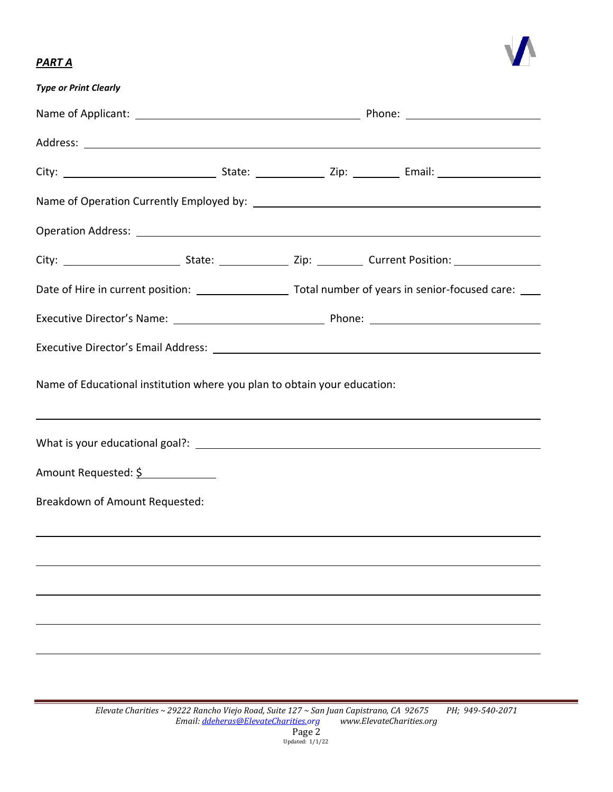# $\boldsymbol{N}$

#### *PART A*

| <b>Type or Print Clearly</b>                                             |  |  |                                                                                                                      |  |  |  |  |
|--------------------------------------------------------------------------|--|--|----------------------------------------------------------------------------------------------------------------------|--|--|--|--|
|                                                                          |  |  |                                                                                                                      |  |  |  |  |
|                                                                          |  |  |                                                                                                                      |  |  |  |  |
|                                                                          |  |  |                                                                                                                      |  |  |  |  |
|                                                                          |  |  |                                                                                                                      |  |  |  |  |
|                                                                          |  |  |                                                                                                                      |  |  |  |  |
|                                                                          |  |  |                                                                                                                      |  |  |  |  |
|                                                                          |  |  |                                                                                                                      |  |  |  |  |
|                                                                          |  |  |                                                                                                                      |  |  |  |  |
|                                                                          |  |  |                                                                                                                      |  |  |  |  |
| Name of Educational institution where you plan to obtain your education: |  |  |                                                                                                                      |  |  |  |  |
|                                                                          |  |  | <u> 1999 - Jan Barbara de Santo de Santo de Santo de Santo de Santo de Santo de Santo de Santo de Santo de Santo</u> |  |  |  |  |
| Amount Requested: \$                                                     |  |  |                                                                                                                      |  |  |  |  |
| Breakdown of Amount Requested:                                           |  |  |                                                                                                                      |  |  |  |  |
|                                                                          |  |  |                                                                                                                      |  |  |  |  |
|                                                                          |  |  |                                                                                                                      |  |  |  |  |
|                                                                          |  |  |                                                                                                                      |  |  |  |  |
|                                                                          |  |  |                                                                                                                      |  |  |  |  |
|                                                                          |  |  |                                                                                                                      |  |  |  |  |
|                                                                          |  |  |                                                                                                                      |  |  |  |  |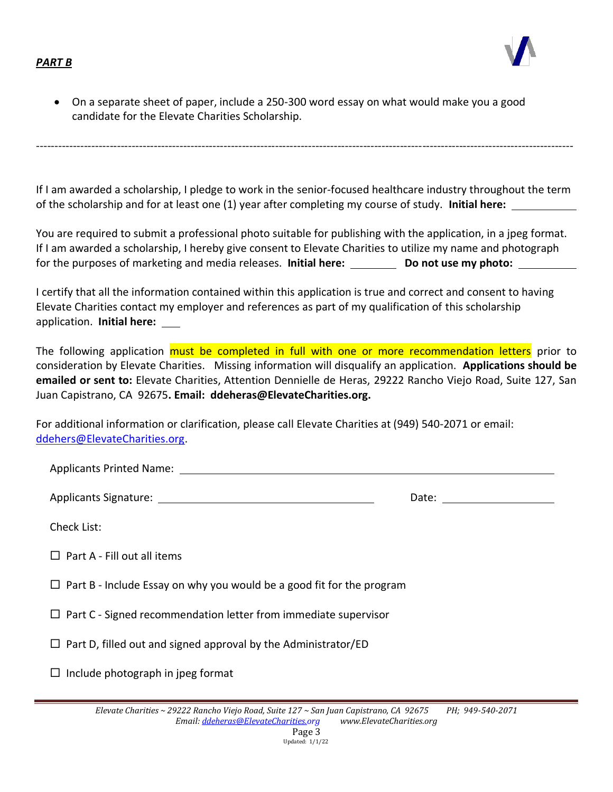#### *PART B*



• On a separate sheet of paper, include a 250-300 word essay on what would make you a good candidate for the Elevate Charities Scholarship.

If I am awarded a scholarship, I pledge to work in the senior-focused healthcare industry throughout the term of the scholarship and for at least one (1) year after completing my course of study. **Initial here:** 

--------------------------------------------------------------------------------------------------------------------------------------------------

You are required to submit a professional photo suitable for publishing with the application, in a jpeg format. If I am awarded a scholarship, I hereby give consent to Elevate Charities to utilize my name and photograph for the purposes of marketing and media releases. **Initial here:** Do not use my photo:

I certify that all the information contained within this application is true and correct and consent to having Elevate Charities contact my employer and references as part of my qualification of this scholarship application. **Initial here:** 

The following application must be completed in full with one or more recommendation letters prior to consideration by Elevate Charities. Missing information will disqualify an application. **Applications should be emailed or sent to:** Elevate Charities, Attention Dennielle de Heras, 29222 Rancho Viejo Road, Suite 127, San Juan Capistrano, CA 92675**. Email: ddeheras@ElevateCharities.org.**

| For additional information or clarification, please call Elevate Charities at (949) 540-2071 or email: |  |
|--------------------------------------------------------------------------------------------------------|--|
| ddehers@ElevateCharities.org.                                                                          |  |

Applicants Printed Name:

Applicants Signature:  $\blacksquare$ 

Check List:

 $\Box$  Part A - Fill out all items

 $\Box$  Part B - Include Essay on why you would be a good fit for the program

 $\Box$  Part C - Signed recommendation letter from immediate supervisor

 $\Box$  Part D, filled out and signed approval by the Administrator/ED

 $\Box$  Include photograph in jpeg format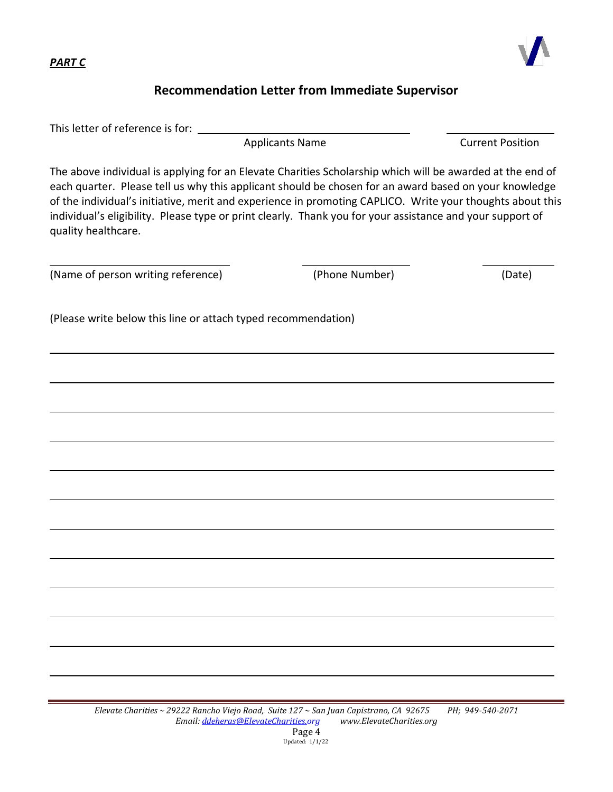*PART C*



#### **Recommendation Letter from Immediate Supervisor**

This letter of reference is for:

Applicants Name Current Position

The above individual is applying for an Elevate Charities Scholarship which will be awarded at the end of each quarter. Please tell us why this applicant should be chosen for an award based on your knowledge of the individual's initiative, merit and experience in promoting CAPLICO. Write your thoughts about this individual's eligibility. Please type or print clearly. Thank you for your assistance and your support of quality healthcare.

(Name of person writing reference) (Phone Number) (Date)

(Please write below this line or attach typed recommendation)